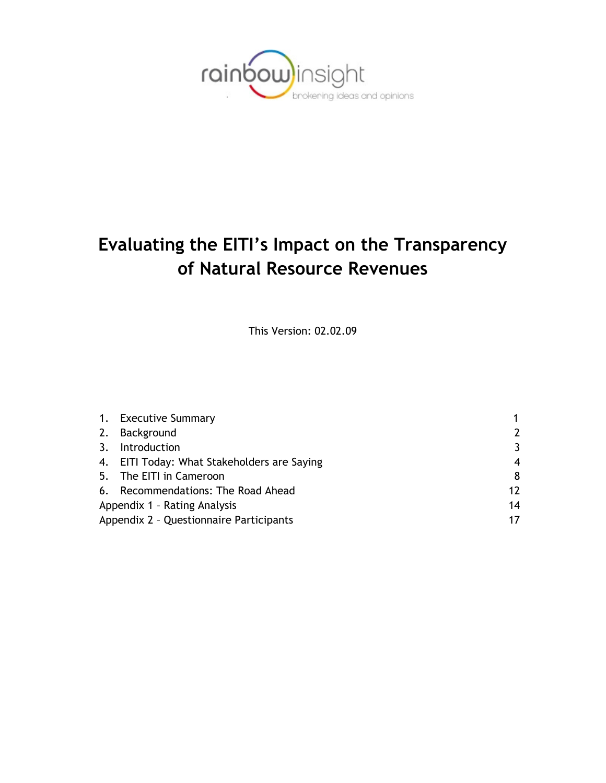

# **Evaluating the EITI's Impact on the Transparency of Natural Resource Revenues**

This Version: 02.02.09

|                                         | 1. Executive Summary                        |    |  |  |
|-----------------------------------------|---------------------------------------------|----|--|--|
|                                         | 2. Background                               |    |  |  |
| 3.                                      | Introduction                                | 3  |  |  |
|                                         | 4. EITI Today: What Stakeholders are Saying | 4  |  |  |
|                                         | 5. The EITI in Cameroon                     | 8  |  |  |
|                                         | 6. Recommendations: The Road Ahead          | 12 |  |  |
| Appendix 1 - Rating Analysis            |                                             |    |  |  |
| Appendix 2 - Questionnaire Participants |                                             |    |  |  |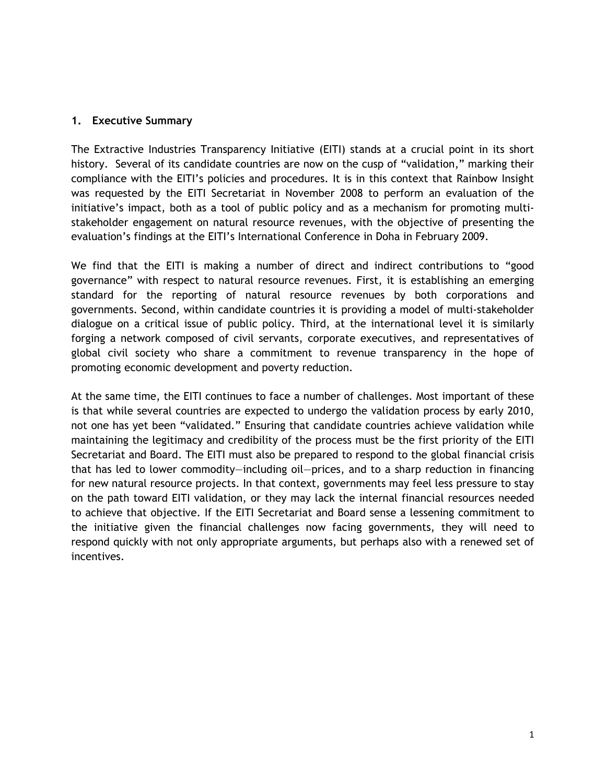#### **1. Executive Summary**

The Extractive Industries Transparency Initiative (EITI) stands at a crucial point in its short history. Several of its candidate countries are now on the cusp of "validation," marking their compliance with the EITI's policies and procedures. It is in this context that Rainbow Insight was requested by the EITI Secretariat in November 2008 to perform an evaluation of the initiative's impact, both as a tool of public policy and as a mechanism for promoting multistakeholder engagement on natural resource revenues, with the objective of presenting the evaluation's findings at the EITI's International Conference in Doha in February 2009.

We find that the EITI is making a number of direct and indirect contributions to "good governance" with respect to natural resource revenues. First, it is establishing an emerging standard for the reporting of natural resource revenues by both corporations and governments. Second, within candidate countries it is providing a model of multi-stakeholder dialogue on a critical issue of public policy. Third, at the international level it is similarly forging a network composed of civil servants, corporate executives, and representatives of global civil society who share a commitment to revenue transparency in the hope of promoting economic development and poverty reduction.

At the same time, the EITI continues to face a number of challenges. Most important of these is that while several countries are expected to undergo the validation process by early 2010, not one has yet been "validated." Ensuring that candidate countries achieve validation while maintaining the legitimacy and credibility of the process must be the first priority of the EITI Secretariat and Board. The EITI must also be prepared to respond to the global financial crisis that has led to lower commodity—including oil—prices, and to a sharp reduction in financing for new natural resource projects. In that context, governments may feel less pressure to stay on the path toward EITI validation, or they may lack the internal financial resources needed to achieve that objective. If the EITI Secretariat and Board sense a lessening commitment to the initiative given the financial challenges now facing governments, they will need to respond quickly with not only appropriate arguments, but perhaps also with a renewed set of incentives.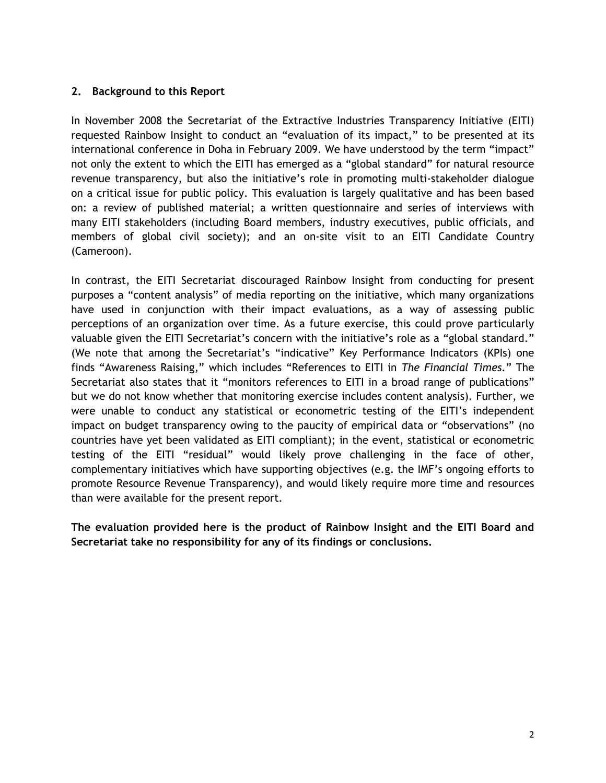#### **2. Background to this Report**

In November 2008 the Secretariat of the Extractive Industries Transparency Initiative (EITI) requested Rainbow Insight to conduct an "evaluation of its impact," to be presented at its international conference in Doha in February 2009. We have understood by the term "impact" not only the extent to which the EITI has emerged as a "global standard" for natural resource revenue transparency, but also the initiative's role in promoting multi-stakeholder dialogue on a critical issue for public policy. This evaluation is largely qualitative and has been based on: a review of published material; a written questionnaire and series of interviews with many EITI stakeholders (including Board members, industry executives, public officials, and members of global civil society); and an on-site visit to an EITI Candidate Country (Cameroon).

In contrast, the EITI Secretariat discouraged Rainbow Insight from conducting for present purposes a "content analysis" of media reporting on the initiative, which many organizations have used in conjunction with their impact evaluations, as a way of assessing public perceptions of an organization over time. As a future exercise, this could prove particularly valuable given the EITI Secretariat's concern with the initiative's role as a "global standard." (We note that among the Secretariat's "indicative" Key Performance Indicators (KPIs) one finds "Awareness Raising," which includes "References to EITI in *The Financial Times.*" The Secretariat also states that it "monitors references to EITI in a broad range of publications" but we do not know whether that monitoring exercise includes content analysis). Further, we were unable to conduct any statistical or econometric testing of the EITI's independent impact on budget transparency owing to the paucity of empirical data or "observations" (no countries have yet been validated as EITI compliant); in the event, statistical or econometric testing of the EITI "residual" would likely prove challenging in the face of other, complementary initiatives which have supporting objectives (e.g. the IMF's ongoing efforts to promote Resource Revenue Transparency), and would likely require more time and resources than were available for the present report.

**The evaluation provided here is the product of Rainbow Insight and the EITI Board and Secretariat take no responsibility for any of its findings or conclusions.**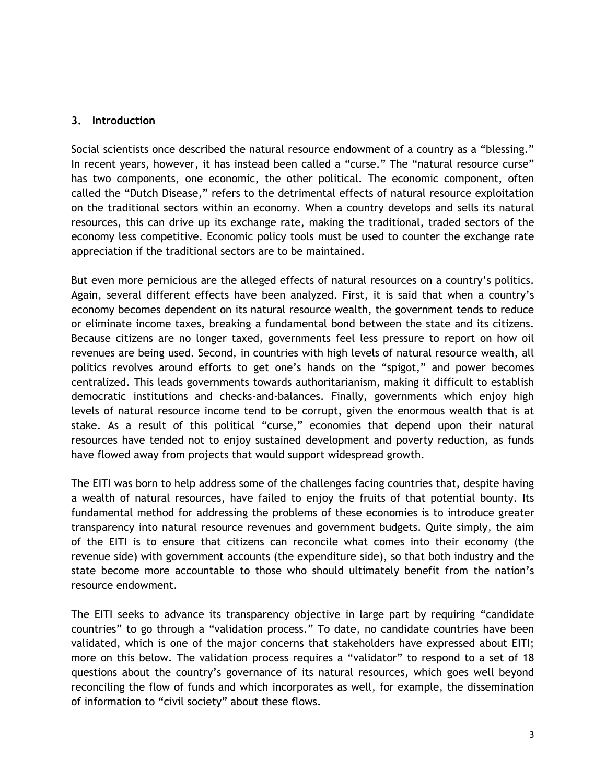#### **3. Introduction**

Social scientists once described the natural resource endowment of a country as a "blessing." In recent years, however, it has instead been called a "curse." The "natural resource curse" has two components, one economic, the other political. The economic component, often called the "Dutch Disease," refers to the detrimental effects of natural resource exploitation on the traditional sectors within an economy. When a country develops and sells its natural resources, this can drive up its exchange rate, making the traditional, traded sectors of the economy less competitive. Economic policy tools must be used to counter the exchange rate appreciation if the traditional sectors are to be maintained.

But even more pernicious are the alleged effects of natural resources on a country's politics. Again, several different effects have been analyzed. First, it is said that when a country's economy becomes dependent on its natural resource wealth, the government tends to reduce or eliminate income taxes, breaking a fundamental bond between the state and its citizens. Because citizens are no longer taxed, governments feel less pressure to report on how oil revenues are being used. Second, in countries with high levels of natural resource wealth, all politics revolves around efforts to get one's hands on the "spigot," and power becomes centralized. This leads governments towards authoritarianism, making it difficult to establish democratic institutions and checks-and-balances. Finally, governments which enjoy high levels of natural resource income tend to be corrupt, given the enormous wealth that is at stake. As a result of this political "curse," economies that depend upon their natural resources have tended not to enjoy sustained development and poverty reduction, as funds have flowed away from projects that would support widespread growth.

The EITI was born to help address some of the challenges facing countries that, despite having a wealth of natural resources, have failed to enjoy the fruits of that potential bounty. Its fundamental method for addressing the problems of these economies is to introduce greater transparency into natural resource revenues and government budgets. Quite simply, the aim of the EITI is to ensure that citizens can reconcile what comes into their economy (the revenue side) with government accounts (the expenditure side), so that both industry and the state become more accountable to those who should ultimately benefit from the nation's resource endowment.

The EITI seeks to advance its transparency objective in large part by requiring "candidate countries" to go through a "validation process." To date, no candidate countries have been validated, which is one of the major concerns that stakeholders have expressed about EITI; more on this below. The validation process requires a "validator" to respond to a set of 18 questions about the country's governance of its natural resources, which goes well beyond reconciling the flow of funds and which incorporates as well, for example, the dissemination of information to "civil society" about these flows.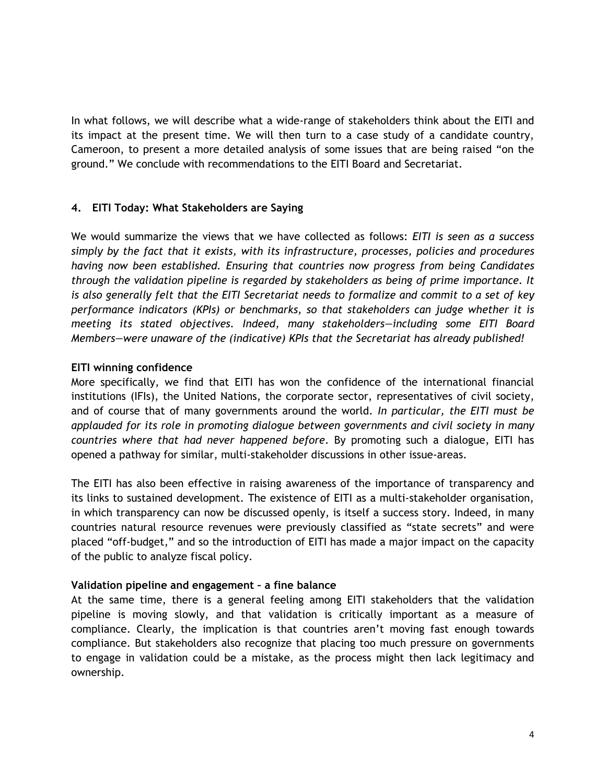In what follows, we will describe what a wide-range of stakeholders think about the EITI and its impact at the present time. We will then turn to a case study of a candidate country, Cameroon, to present a more detailed analysis of some issues that are being raised "on the ground." We conclude with recommendations to the EITI Board and Secretariat.

#### **4. EITI Today: What Stakeholders are Saying**

We would summarize the views that we have collected as follows: *EITI is seen as a success simply by the fact that it exists, with its infrastructure, processes, policies and procedures having now been established. Ensuring that countries now progress from being Candidates through the validation pipeline is regarded by stakeholders as being of prime importance. It is also generally felt that the EITI Secretariat needs to formalize and commit to a set of key performance indicators (KPIs) or benchmarks, so that stakeholders can judge whether it is meeting its stated objectives. Indeed, many stakeholders—including some EITI Board Members—were unaware of the (indicative) KPIs that the Secretariat has already published!*

#### **EITI winning confidence**

More specifically, we find that EITI has won the confidence of the international financial institutions (IFIs), the United Nations, the corporate sector, representatives of civil society, and of course that of many governments around the world. *In particular, the EITI must be applauded for its role in promoting dialogue between governments and civil society in many countries where that had never happened before*. By promoting such a dialogue, EITI has opened a pathway for similar, multi-stakeholder discussions in other issue-areas.

The EITI has also been effective in raising awareness of the importance of transparency and its links to sustained development. The existence of EITI as a multi-stakeholder organisation, in which transparency can now be discussed openly, is itself a success story. Indeed, in many countries natural resource revenues were previously classified as "state secrets" and were placed "off-budget," and so the introduction of EITI has made a major impact on the capacity of the public to analyze fiscal policy.

#### **Validation pipeline and engagement – a fine balance**

At the same time, there is a general feeling among EITI stakeholders that the validation pipeline is moving slowly, and that validation is critically important as a measure of compliance. Clearly, the implication is that countries aren't moving fast enough towards compliance. But stakeholders also recognize that placing too much pressure on governments to engage in validation could be a mistake, as the process might then lack legitimacy and ownership.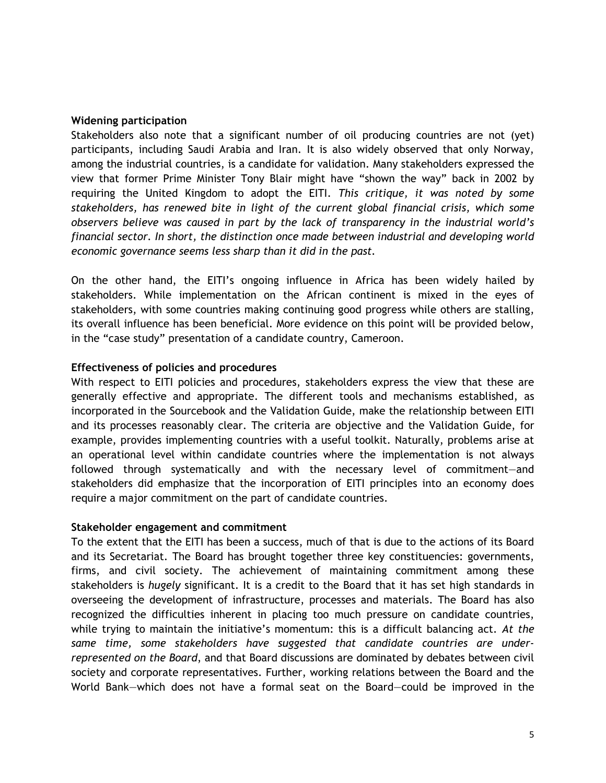#### **Widening participation**

Stakeholders also note that a significant number of oil producing countries are not (yet) participants, including Saudi Arabia and Iran. It is also widely observed that only Norway, among the industrial countries, is a candidate for validation. Many stakeholders expressed the view that former Prime Minister Tony Blair might have "shown the way" back in 2002 by requiring the United Kingdom to adopt the EITI. *This critique, it was noted by some stakeholders, has renewed bite in light of the current global financial crisis, which some observers believe was caused in part by the lack of transparency in the industrial world's financial sector. In short, the distinction once made between industrial and developing world economic governance seems less sharp than it did in the past.*

On the other hand, the EITI's ongoing influence in Africa has been widely hailed by stakeholders. While implementation on the African continent is mixed in the eyes of stakeholders, with some countries making continuing good progress while others are stalling, its overall influence has been beneficial. More evidence on this point will be provided below, in the "case study" presentation of a candidate country, Cameroon.

#### **Effectiveness of policies and procedures**

With respect to EITI policies and procedures, stakeholders express the view that these are generally effective and appropriate. The different tools and mechanisms established, as incorporated in the Sourcebook and the Validation Guide, make the relationship between EITI and its processes reasonably clear. The criteria are objective and the Validation Guide, for example, provides implementing countries with a useful toolkit. Naturally, problems arise at an operational level within candidate countries where the implementation is not always followed through systematically and with the necessary level of commitment—and stakeholders did emphasize that the incorporation of EITI principles into an economy does require a major commitment on the part of candidate countries.

#### **Stakeholder engagement and commitment**

To the extent that the EITI has been a success, much of that is due to the actions of its Board and its Secretariat. The Board has brought together three key constituencies: governments, firms, and civil society. The achievement of maintaining commitment among these stakeholders is *hugely* significant. It is a credit to the Board that it has set high standards in overseeing the development of infrastructure, processes and materials. The Board has also recognized the difficulties inherent in placing too much pressure on candidate countries, while trying to maintain the initiative's momentum: this is a difficult balancing act. *At the same time, some stakeholders have suggested that candidate countries are underrepresented on the Board*, and that Board discussions are dominated by debates between civil society and corporate representatives. Further, working relations between the Board and the World Bank—which does not have a formal seat on the Board—could be improved in the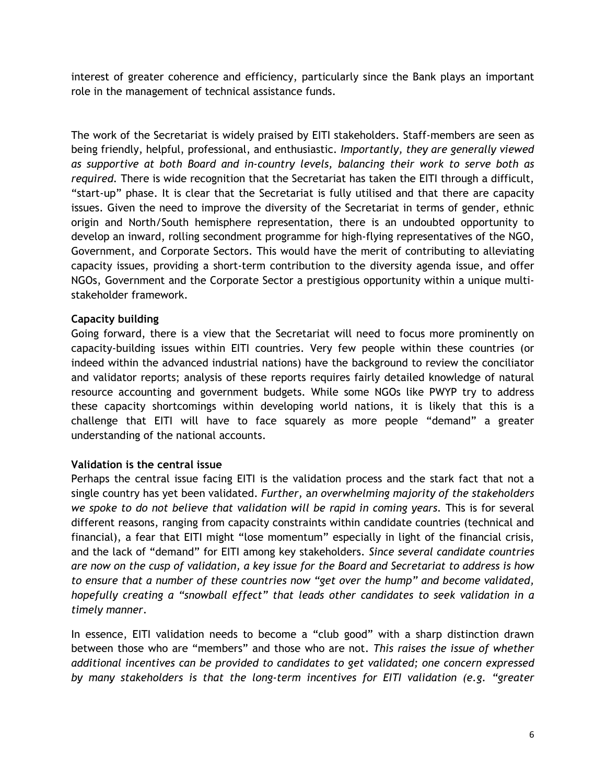interest of greater coherence and efficiency, particularly since the Bank plays an important role in the management of technical assistance funds.

The work of the Secretariat is widely praised by EITI stakeholders. Staff-members are seen as being friendly, helpful, professional, and enthusiastic. *Importantly, they are generally viewed as supportive at both Board and in-country levels, balancing their work to serve both as required.* There is wide recognition that the Secretariat has taken the EITI through a difficult, "start-up" phase. It is clear that the Secretariat is fully utilised and that there are capacity issues. Given the need to improve the diversity of the Secretariat in terms of gender, ethnic origin and North/South hemisphere representation, there is an undoubted opportunity to develop an inward, rolling secondment programme for high-flying representatives of the NGO, Government, and Corporate Sectors. This would have the merit of contributing to alleviating capacity issues, providing a short-term contribution to the diversity agenda issue, and offer NGOs, Government and the Corporate Sector a prestigious opportunity within a unique multistakeholder framework.

#### **Capacity building**

Going forward, there is a view that the Secretariat will need to focus more prominently on capacity-building issues within EITI countries. Very few people within these countries (or indeed within the advanced industrial nations) have the background to review the conciliator and validator reports; analysis of these reports requires fairly detailed knowledge of natural resource accounting and government budgets. While some NGOs like PWYP try to address these capacity shortcomings within developing world nations, it is likely that this is a challenge that EITI will have to face squarely as more people "demand" a greater understanding of the national accounts.

#### **Validation is the central issue**

Perhaps the central issue facing EITI is the validation process and the stark fact that not a single country has yet been validated. *Further,* a*n overwhelming majority of the stakeholders we spoke to do not believe that validation will be rapid in coming years.* This is for several different reasons, ranging from capacity constraints within candidate countries (technical and financial), a fear that EITI might "lose momentum" especially in light of the financial crisis, and the lack of "demand" for EITI among key stakeholders. *Since several candidate countries are now on the cusp of validation, a key issue for the Board and Secretariat to address is how to ensure that a number of these countries now "get over the hump" and become validated, hopefully creating a "snowball effect" that leads other candidates to seek validation in a timely manner*.

In essence, EITI validation needs to become a "club good" with a sharp distinction drawn between those who are "members" and those who are not. *This raises the issue of whether additional incentives can be provided to candidates to get validated; one concern expressed by many stakeholders is that the long-term incentives for EITI validation (e.g. "greater*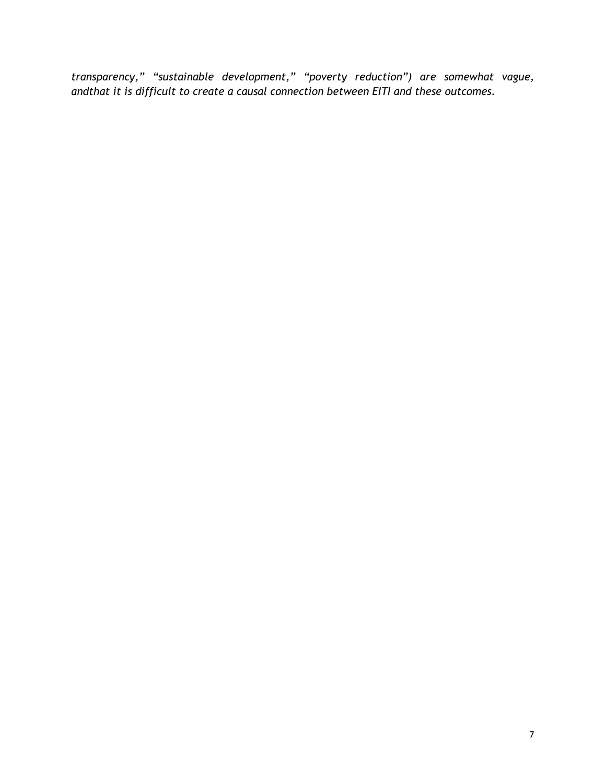*transparency," "sustainable development," "poverty reduction") are somewhat vague, andthat it is difficult to create a causal connection between EITI and these outcomes.*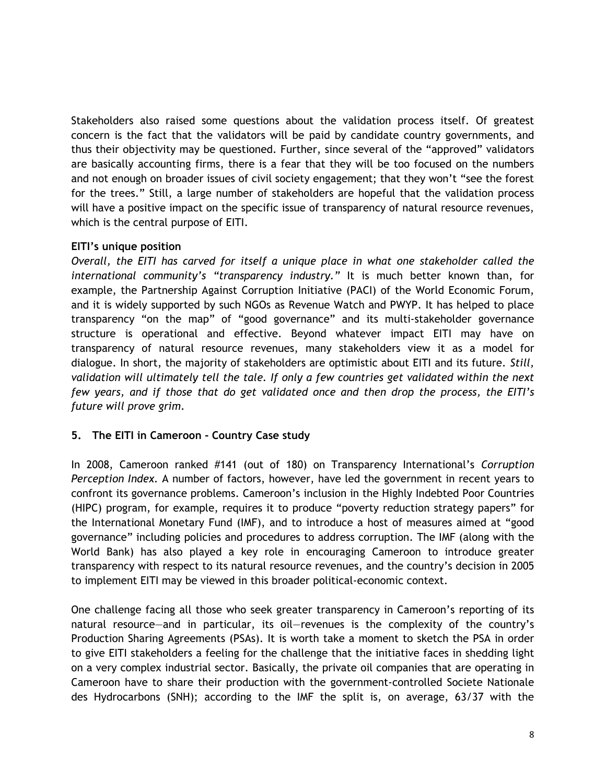Stakeholders also raised some questions about the validation process itself. Of greatest concern is the fact that the validators will be paid by candidate country governments, and thus their objectivity may be questioned. Further, since several of the "approved" validators are basically accounting firms, there is a fear that they will be too focused on the numbers and not enough on broader issues of civil society engagement; that they won't "see the forest for the trees." Still, a large number of stakeholders are hopeful that the validation process will have a positive impact on the specific issue of transparency of natural resource revenues, which is the central purpose of EITI.

#### **EITI's unique position**

*Overall, the EITI has carved for itself a unique place in what one stakeholder called the international community's "transparency industry."* It is much better known than, for example, the Partnership Against Corruption Initiative (PACI) of the World Economic Forum, and it is widely supported by such NGOs as Revenue Watch and PWYP. It has helped to place transparency "on the map" of "good governance" and its multi-stakeholder governance structure is operational and effective. Beyond whatever impact EITI may have on transparency of natural resource revenues, many stakeholders view it as a model for dialogue. In short, the majority of stakeholders are optimistic about EITI and its future. *Still, validation will ultimately tell the tale. If only a few countries get validated within the next few years, and if those that do get validated once and then drop the process, the EITI's future will prove grim*.

#### **5. The EITI in Cameroon - Country Case study**

In 2008, Cameroon ranked #141 (out of 180) on Transparency International's *Corruption Perception Index.* A number of factors, however, have led the government in recent years to confront its governance problems. Cameroon's inclusion in the Highly Indebted Poor Countries (HIPC) program, for example, requires it to produce "poverty reduction strategy papers" for the International Monetary Fund (IMF), and to introduce a host of measures aimed at "good governance" including policies and procedures to address corruption. The IMF (along with the World Bank) has also played a key role in encouraging Cameroon to introduce greater transparency with respect to its natural resource revenues, and the country's decision in 2005 to implement EITI may be viewed in this broader political-economic context.

One challenge facing all those who seek greater transparency in Cameroon's reporting of its natural resource—and in particular, its oil—revenues is the complexity of the country's Production Sharing Agreements (PSAs). It is worth take a moment to sketch the PSA in order to give EITI stakeholders a feeling for the challenge that the initiative faces in shedding light on a very complex industrial sector. Basically, the private oil companies that are operating in Cameroon have to share their production with the government-controlled Societe Nationale des Hydrocarbons (SNH); according to the IMF the split is, on average, 63/37 with the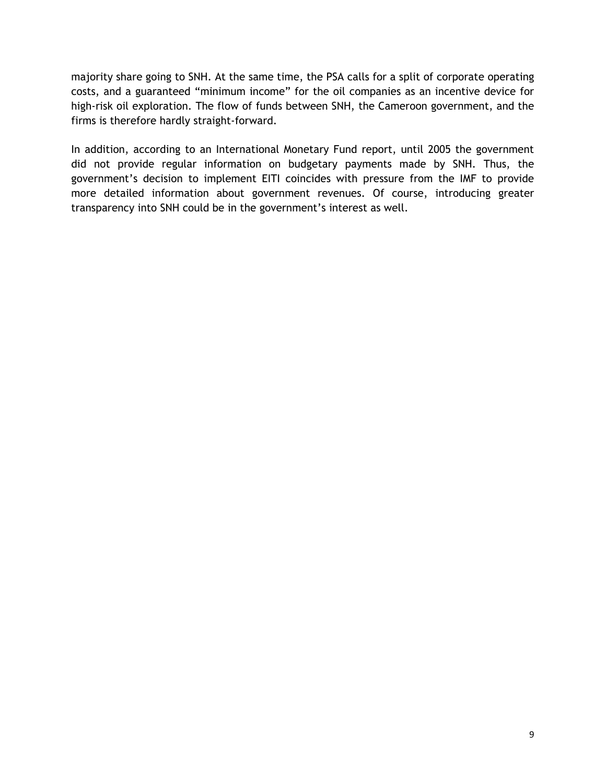majority share going to SNH. At the same time, the PSA calls for a split of corporate operating costs, and a guaranteed "minimum income" for the oil companies as an incentive device for high-risk oil exploration. The flow of funds between SNH, the Cameroon government, and the firms is therefore hardly straight-forward.

In addition, according to an International Monetary Fund report, until 2005 the government did not provide regular information on budgetary payments made by SNH. Thus, the government's decision to implement EITI coincides with pressure from the IMF to provide more detailed information about government revenues. Of course, introducing greater transparency into SNH could be in the government's interest as well.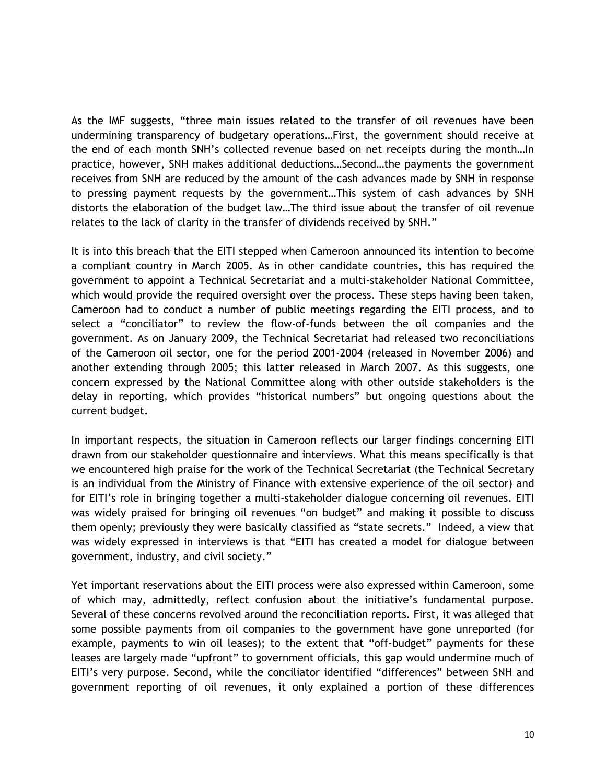As the IMF suggests, "three main issues related to the transfer of oil revenues have been undermining transparency of budgetary operations…First, the government should receive at the end of each month SNH's collected revenue based on net receipts during the month…In practice, however, SNH makes additional deductions…Second…the payments the government receives from SNH are reduced by the amount of the cash advances made by SNH in response to pressing payment requests by the government…This system of cash advances by SNH distorts the elaboration of the budget law…The third issue about the transfer of oil revenue relates to the lack of clarity in the transfer of dividends received by SNH."

It is into this breach that the EITI stepped when Cameroon announced its intention to become a compliant country in March 2005. As in other candidate countries, this has required the government to appoint a Technical Secretariat and a multi-stakeholder National Committee, which would provide the required oversight over the process. These steps having been taken, Cameroon had to conduct a number of public meetings regarding the EITI process, and to select a "conciliator" to review the flow-of-funds between the oil companies and the government. As on January 2009, the Technical Secretariat had released two reconciliations of the Cameroon oil sector, one for the period 2001-2004 (released in November 2006) and another extending through 2005; this latter released in March 2007. As this suggests, one concern expressed by the National Committee along with other outside stakeholders is the delay in reporting, which provides "historical numbers" but ongoing questions about the current budget.

In important respects, the situation in Cameroon reflects our larger findings concerning EITI drawn from our stakeholder questionnaire and interviews. What this means specifically is that we encountered high praise for the work of the Technical Secretariat (the Technical Secretary is an individual from the Ministry of Finance with extensive experience of the oil sector) and for EITI's role in bringing together a multi-stakeholder dialogue concerning oil revenues. EITI was widely praised for bringing oil revenues "on budget" and making it possible to discuss them openly; previously they were basically classified as "state secrets." Indeed, a view that was widely expressed in interviews is that "EITI has created a model for dialogue between government, industry, and civil society."

Yet important reservations about the EITI process were also expressed within Cameroon, some of which may, admittedly, reflect confusion about the initiative's fundamental purpose. Several of these concerns revolved around the reconciliation reports. First, it was alleged that some possible payments from oil companies to the government have gone unreported (for example, payments to win oil leases); to the extent that "off-budget" payments for these leases are largely made "upfront" to government officials, this gap would undermine much of EITI's very purpose. Second, while the conciliator identified "differences" between SNH and government reporting of oil revenues, it only explained a portion of these differences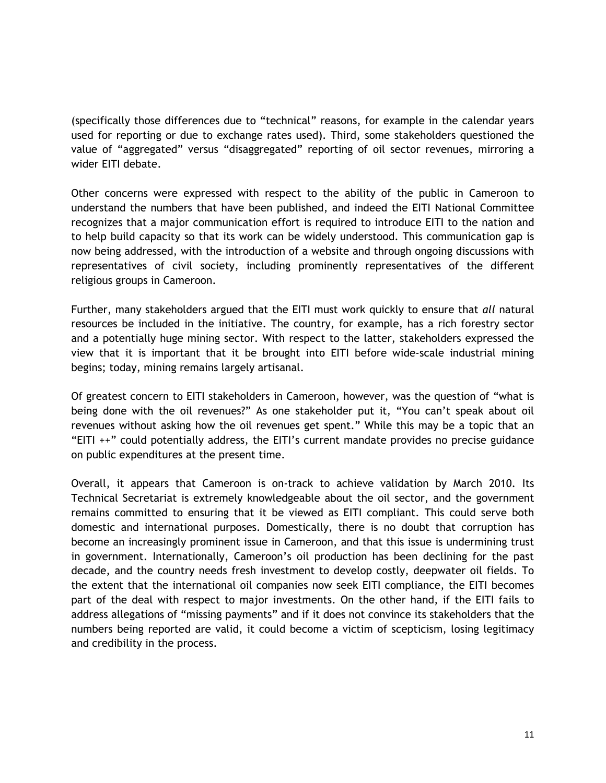(specifically those differences due to "technical" reasons, for example in the calendar years used for reporting or due to exchange rates used). Third, some stakeholders questioned the value of "aggregated" versus "disaggregated" reporting of oil sector revenues, mirroring a wider EITI debate.

Other concerns were expressed with respect to the ability of the public in Cameroon to understand the numbers that have been published, and indeed the EITI National Committee recognizes that a major communication effort is required to introduce EITI to the nation and to help build capacity so that its work can be widely understood. This communication gap is now being addressed, with the introduction of a website and through ongoing discussions with representatives of civil society, including prominently representatives of the different religious groups in Cameroon.

Further, many stakeholders argued that the EITI must work quickly to ensure that *all* natural resources be included in the initiative. The country, for example, has a rich forestry sector and a potentially huge mining sector. With respect to the latter, stakeholders expressed the view that it is important that it be brought into EITI before wide-scale industrial mining begins; today, mining remains largely artisanal.

Of greatest concern to EITI stakeholders in Cameroon, however, was the question of "what is being done with the oil revenues?" As one stakeholder put it, "You can't speak about oil revenues without asking how the oil revenues get spent." While this may be a topic that an "EITI ++" could potentially address, the EITI's current mandate provides no precise guidance on public expenditures at the present time.

Overall, it appears that Cameroon is on-track to achieve validation by March 2010. Its Technical Secretariat is extremely knowledgeable about the oil sector, and the government remains committed to ensuring that it be viewed as EITI compliant. This could serve both domestic and international purposes. Domestically, there is no doubt that corruption has become an increasingly prominent issue in Cameroon, and that this issue is undermining trust in government. Internationally, Cameroon's oil production has been declining for the past decade, and the country needs fresh investment to develop costly, deepwater oil fields. To the extent that the international oil companies now seek EITI compliance, the EITI becomes part of the deal with respect to major investments. On the other hand, if the EITI fails to address allegations of "missing payments" and if it does not convince its stakeholders that the numbers being reported are valid, it could become a victim of scepticism, losing legitimacy and credibility in the process.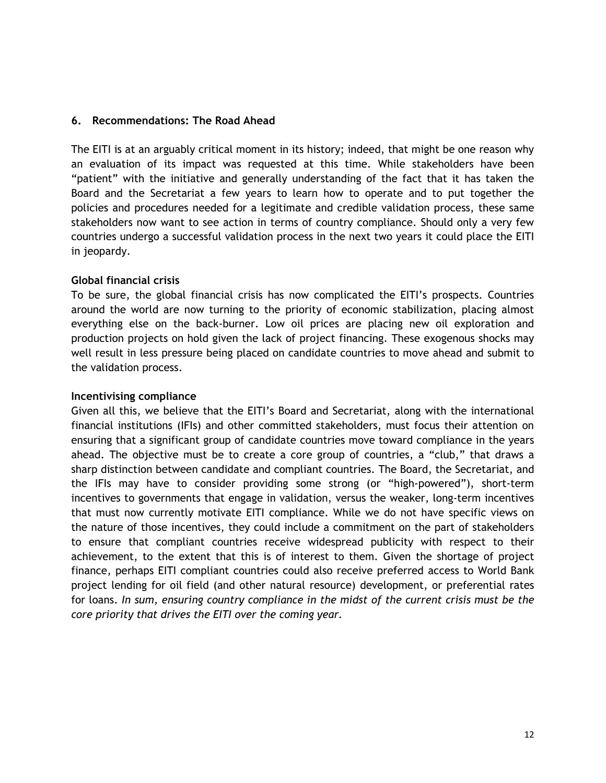#### **6. Recommendations: The Road Ahead**

The EITI is at an arguably critical moment in its history; indeed, that might be one reason why an evaluation of its impact was requested at this time. While stakeholders have been "patient" with the initiative and generally understanding of the fact that it has taken the Board and the Secretariat a few years to learn how to operate and to put together the policies and procedures needed for a legitimate and credible validation process, these same stakeholders now want to see action in terms of country compliance. Should only a very few countries undergo a successful validation process in the next two years it could place the EITI in jeopardy.

#### **Global financial crisis**

To be sure, the global financial crisis has now complicated the EITI's prospects. Countries around the world are now turning to the priority of economic stabilization, placing almost everything else on the back-burner. Low oil prices are placing new oil exploration and production projects on hold given the lack of project financing. These exogenous shocks may well result in less pressure being placed on candidate countries to move ahead and submit to the validation process.

#### **Incentivising compliance**

Given all this, we believe that the EITI's Board and Secretariat, along with the international financial institutions (IFIs) and other committed stakeholders, must focus their attention on ensuring that a significant group of candidate countries move toward compliance in the years ahead. The objective must be to create a core group of countries, a "club," that draws a sharp distinction between candidate and compliant countries. The Board, the Secretariat, and the IFIs may have to consider providing some strong (or "high-powered"), short-term incentives to governments that engage in validation, versus the weaker, long-term incentives that must now currently motivate EITI compliance. While we do not have specific views on the nature of those incentives, they could include a commitment on the part of stakeholders to ensure that compliant countries receive widespread publicity with respect to their achievement, to the extent that this is of interest to them. Given the shortage of project finance, perhaps EITI compliant countries could also receive preferred access to World Bank project lending for oil field (and other natural resource) development, or preferential rates for loans. *In sum, ensuring country compliance in the midst of the current crisis must be the core priority that drives the EITI over the coming year.*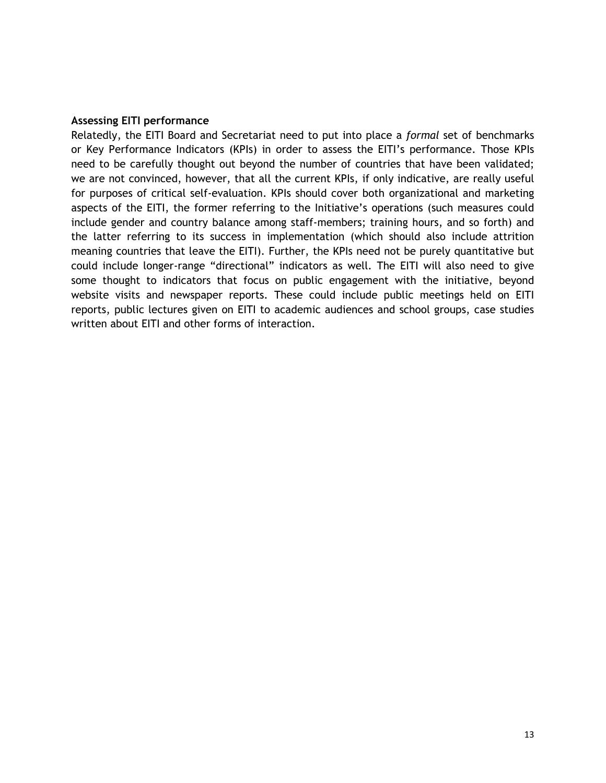#### **Assessing EITI performance**

Relatedly, the EITI Board and Secretariat need to put into place a *formal* set of benchmarks or Key Performance Indicators (KPIs) in order to assess the EITI's performance. Those KPIs need to be carefully thought out beyond the number of countries that have been validated; we are not convinced, however, that all the current KPIs, if only indicative, are really useful for purposes of critical self-evaluation. KPIs should cover both organizational and marketing aspects of the EITI, the former referring to the Initiative's operations (such measures could include gender and country balance among staff-members; training hours, and so forth) and the latter referring to its success in implementation (which should also include attrition meaning countries that leave the EITI). Further, the KPIs need not be purely quantitative but could include longer-range "directional" indicators as well. The EITI will also need to give some thought to indicators that focus on public engagement with the initiative, beyond website visits and newspaper reports. These could include public meetings held on EITI reports, public lectures given on EITI to academic audiences and school groups, case studies written about EITI and other forms of interaction.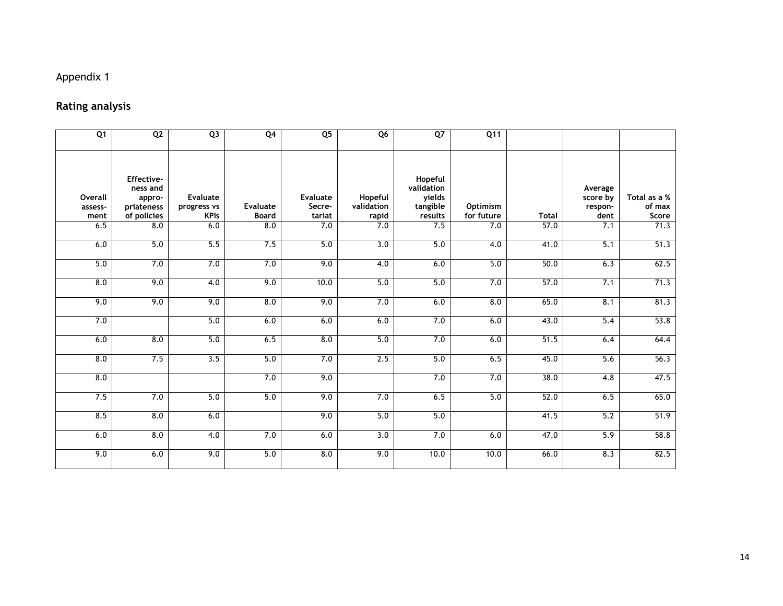### Appendix 1

## **Rating analysis**

| Q1                         | Q <sub>2</sub>                                                | Q3                                            | Q <sub>4</sub>                  | Q <sub>5</sub>                      | Q6                             | $Q$ 7                                                  | Q11                    |              |                                        |                                 |
|----------------------------|---------------------------------------------------------------|-----------------------------------------------|---------------------------------|-------------------------------------|--------------------------------|--------------------------------------------------------|------------------------|--------------|----------------------------------------|---------------------------------|
| Overall<br>assess-<br>ment | Effective-<br>ness and<br>appro-<br>priateness<br>of policies | <b>Evaluate</b><br>progress vs<br><b>KPIs</b> | <b>Evaluate</b><br><b>Board</b> | <b>Evaluate</b><br>Secre-<br>tariat | Hopeful<br>validation<br>rapid | Hopeful<br>validation<br>yields<br>tangible<br>results | Optimism<br>for future | <b>Total</b> | Average<br>score by<br>respon-<br>dent | Total as a %<br>of max<br>Score |
| 6.5                        | 8.0                                                           | 6.0                                           | 8.0                             | 7.0                                 | 7.0                            | 7.5                                                    | 7.0                    | 57.0         | 7.1                                    | 71.3                            |
| 6.0                        | 5.0                                                           | 5.5                                           | 7.5                             | 5.0                                 | $\overline{3.0}$               | 5.0                                                    | $\overline{4.0}$       | 41.0         | $\overline{5.1}$                       | 51.3                            |
| 5.0                        | 7.0                                                           | 7.0                                           | 7.0                             | 9.0                                 | 4.0                            | 6.0                                                    | 5.0                    | 50.0         | 6.3                                    | 62.5                            |
| 8.0                        | 9.0                                                           | $\overline{4.0}$                              | 9.0                             | 10.0                                | 5.0                            | 5.0                                                    | 7.0                    | 57.0         | 7.1                                    | 71.3                            |
| 9.0                        | 9.0                                                           | 9.0                                           | 8.0                             | 9.0                                 | 7.0                            | 6.0                                                    | 8.0                    | 65.0         | 8.1                                    | 81.3                            |
| 7.0                        |                                                               | 5.0                                           | 6.0                             | 6.0                                 | 6.0                            | 7.0                                                    | 6.0                    | 43.0         | 5.4                                    | 53.8                            |
| 6.0                        | 8.0                                                           | $\overline{5.0}$                              | 6.5                             | 8.0                                 | $\overline{5.0}$               | 7.0                                                    | 6.0                    | 51.5         | 6.4                                    | 64.4                            |
| 8.0                        | 7.5                                                           | 3.5                                           | 5.0                             | 7.0                                 | 2.5                            | 5.0                                                    | 6.5                    | 45.0         | 5.6                                    | 56.3                            |
| 8.0                        |                                                               |                                               | 7.0                             | 9.0                                 |                                | 7.0                                                    | 7.0                    | 38.0         | 4.8                                    | 47.5                            |
| 7.5                        | 7.0                                                           | 5.0                                           | 5.0                             | 9.0                                 | 7.0                            | 6.5                                                    | 5.0                    | 52.0         | 6.5                                    | 65.0                            |
| 8.5                        | 8.0                                                           | 6.0                                           |                                 | 9.0                                 | 5.0                            | 5.0                                                    |                        | 41.5         | 5.2                                    | 51.9                            |
| 6.0                        | 8.0                                                           | 4.0                                           | 7.0                             | 6.0                                 | $\overline{3.0}$               | 7.0                                                    | 6.0                    | 47.0         | 5.9                                    | 58.8                            |
| 9.0                        | 6.0                                                           | 9.0                                           | 5.0                             | 8.0                                 | 9.0                            | 10.0                                                   | 10.0                   | 66.0         | 8.3                                    | 82.5                            |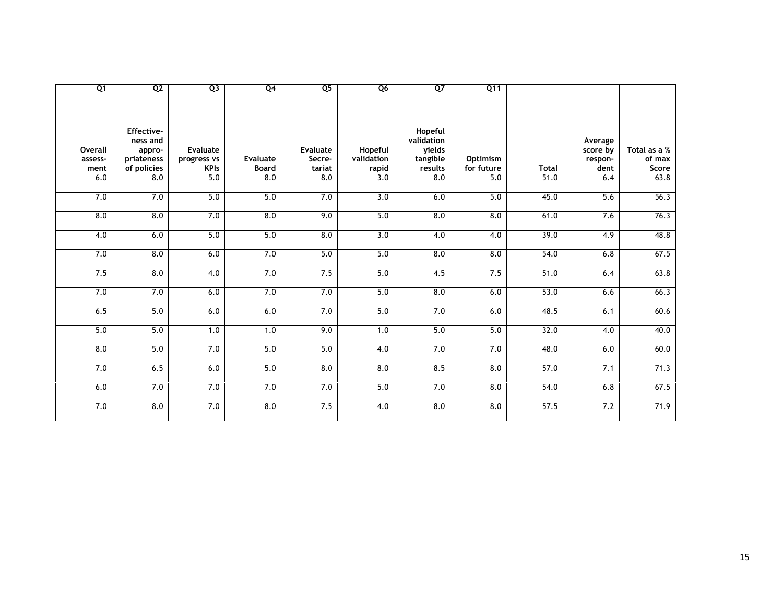| Q <sub>1</sub>             | Q <sub>2</sub>                                                | Q <sub>3</sub>                                | Q <sub>4</sub>                  | Q <sub>5</sub>                      | Q <sub>6</sub>                 | $Q$ 7                                                  | Q11                    |              |                                        |                                 |
|----------------------------|---------------------------------------------------------------|-----------------------------------------------|---------------------------------|-------------------------------------|--------------------------------|--------------------------------------------------------|------------------------|--------------|----------------------------------------|---------------------------------|
| Overall<br>assess-<br>ment | Effective-<br>ness and<br>appro-<br>priateness<br>of policies | <b>Evaluate</b><br>progress vs<br><b>KPIs</b> | <b>Evaluate</b><br><b>Board</b> | <b>Evaluate</b><br>Secre-<br>tariat | Hopeful<br>validation<br>rapid | Hopeful<br>validation<br>yields<br>tangible<br>results | Optimism<br>for future | <b>Total</b> | Average<br>score by<br>respon-<br>dent | Total as a %<br>of max<br>Score |
| 6.0                        | 8.0                                                           | 5.0                                           | $\overline{8.0}$                | $\overline{8.0}$                    | 3.0                            | 8.0                                                    | $\overline{5.0}$       | 51.0         | 6.4                                    | 63.8                            |
| 7.0                        | 7.0                                                           | 5.0                                           | 5.0                             | 7.0                                 | 3.0                            | 6.0                                                    | 5.0                    | 45.0         | 5.6                                    | 56.3                            |
| 8.0                        | 8.0                                                           | 7.0                                           | 8.0                             | 9.0                                 | 5.0                            | 8.0                                                    | 8.0                    | 61.0         | 7.6                                    | 76.3                            |
| $\overline{4.0}$           | 6.0                                                           | 5.0                                           | 5.0                             | $\overline{8.0}$                    | $\overline{3.0}$               | 4.0                                                    | 4.0                    | 39.0         | $\overline{4.9}$                       | 48.8                            |
| 7.0                        | 8.0                                                           | 6.0                                           | 7.0                             | 5.0                                 | 5.0                            | 8.0                                                    | 8.0                    | 54.0         | 6.8                                    | 67.5                            |
| 7.5                        | 8.0                                                           | 4.0                                           | 7.0                             | 7.5                                 | 5.0                            | 4.5                                                    | 7.5                    | 51.0         | 6.4                                    | 63.8                            |
| 7.0                        | 7.0                                                           | 6.0                                           | 7.0                             | 7.0                                 | 5.0                            | 8.0                                                    | 6.0                    | 53.0         | 6.6                                    | 66.3                            |
| 6.5                        | 5.0                                                           | 6.0                                           | 6.0                             | 7.0                                 | 5.0                            | 7.0                                                    | 6.0                    | 48.5         | 6.1                                    | 60.6                            |
| 5.0                        | 5.0                                                           | 1.0                                           | 1.0                             | 9.0                                 | 1.0                            | 5.0                                                    | 5.0                    | 32.0         | 4.0                                    | 40.0                            |
| $\overline{8.0}$           | 5.0                                                           | 7.0                                           | 5.0                             | 5.0                                 | 4.0                            | 7.0                                                    | 7.0                    | 48.0         | 6.0                                    | 60.0                            |
| 7.0                        | 6.5                                                           | 6.0                                           | 5.0                             | 8.0                                 | 8.0                            | 8.5                                                    | 8.0                    | 57.0         | 7.1                                    | 71.3                            |
| 6.0                        | 7.0                                                           | 7.0                                           | 7.0                             | 7.0                                 | 5.0                            | 7.0                                                    | 8.0                    | 54.0         | 6.8                                    | 67.5                            |
| 7.0                        | 8.0                                                           | 7.0                                           | 8.0                             | 7.5                                 | $\overline{4.0}$               | 8.0                                                    | 8.0                    | 57.5         | 7.2                                    | 71.9                            |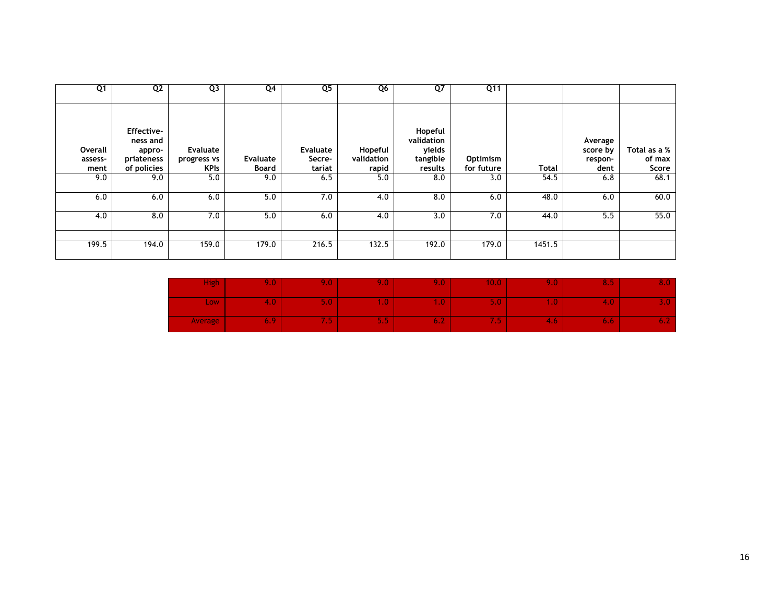| Q1                         | Q <sub>2</sub>                                                       | Q <sub>3</sub>                         | Q4                | Q <sub>5</sub>                      | Q6                             | $Q$ 7                                                  | Q <sub>11</sub>        |        |                                        |                                 |
|----------------------------|----------------------------------------------------------------------|----------------------------------------|-------------------|-------------------------------------|--------------------------------|--------------------------------------------------------|------------------------|--------|----------------------------------------|---------------------------------|
| Overall<br>assess-<br>ment | <b>Effective-</b><br>ness and<br>appro-<br>priateness<br>of policies | Evaluate<br>progress vs<br><b>KPIs</b> | Evaluate<br>Board | <b>Evaluate</b><br>Secre-<br>tariat | Hopeful<br>validation<br>rapid | Hopeful<br>validation<br>yields<br>tangible<br>results | Optimism<br>for future | Total  | Average<br>score by<br>respon-<br>dent | Total as a %<br>of max<br>Score |
| 9.0                        | 9.0                                                                  | 5.0                                    | 9.0               | 6.5                                 | 5.0                            | 8.0                                                    | 3.0                    | 54.5   | 6.8                                    | 68.1                            |
| 6.0                        | 6.0                                                                  | 6.0                                    | 5.0               | 7.0                                 | 4.0                            | 8.0                                                    | 6.0                    | 48.0   | 6.0                                    | 60.0                            |
| 4.0                        | 8.0                                                                  | 7.0                                    | 5.0               | 6.0                                 | 4.0                            | 3.0                                                    | 7.0                    | 44.0   | 5.5                                    | 55.0                            |
| 199.5                      | 194.0                                                                | 159.0                                  | 179.0             | 216.5                               | 132.5                          | 192.0                                                  | 179.0                  | 1451.5 |                                        |                                 |

| <b>High</b> | 20 May | 9.0 <sub>1</sub>                   | 407                         | 9.O' | 10.07                 | $9.0^{\circ}$ | 8.5 |  |
|-------------|--------|------------------------------------|-----------------------------|------|-----------------------|---------------|-----|--|
| <b>Low</b>  | 4.U    | 5.07                               | 407                         | Æ    | U.U                   | n a U         | 4.U |  |
| Average     | . .    | <b><i><u>ALCOHOL: 2005</u></i></b> | <b>Part 200</b><br>. .<br>. | O.Z  | <b>College Street</b> | 4<br>4. OZ    | 6.6 |  |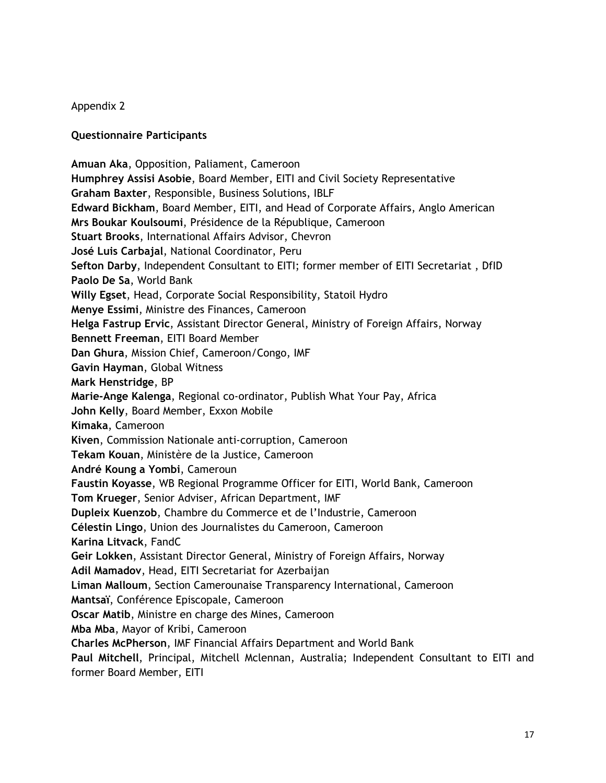#### Appendix 2

#### **Questionnaire Participants**

**Amuan Aka**, Opposition, Paliament, Cameroon **Humphrey Assisi Asobie**, Board Member, EITI and Civil Society Representative **Graham Baxter**, Responsible, Business Solutions, IBLF **Edward Bickham**, Board Member, EITI, and Head of Corporate Affairs, Anglo American **Mrs Boukar Koulsoumi**, Présidence de la République, Cameroon **Stuart Brooks**, International Affairs Advisor, Chevron **José Luis Carbajal**, National Coordinator, Peru **Sefton Darby**, Independent Consultant to EITI; former member of EITI Secretariat , DfID **Paolo De Sa**, World Bank **Willy Egset**, Head, Corporate Social Responsibility, Statoil Hydro **Menye Essimi**, Ministre des Finances, Cameroon **Helga Fastrup Ervic**, Assistant Director General, Ministry of Foreign Affairs, Norway **Bennett Freeman**, EITI Board Member **Dan Ghura**, Mission Chief, Cameroon/Congo, IMF **Gavin Hayman**, Global Witness **Mark Henstridge**, BP **Marie-Ange Kalenga**, Regional co-ordinator, Publish What Your Pay, Africa **John Kelly**, Board Member, Exxon Mobile **Kimaka**, Cameroon **Kiven**, Commission Nationale anti-corruption, Cameroon **Tekam Kouan**, Ministère de la Justice, Cameroon **André Koung a Yombi**, Cameroun **Faustin Koyasse**, WB Regional Programme Officer for EITI, World Bank, Cameroon **Tom Krueger**, Senior Adviser, African Department, IMF **Dupleix Kuenzob**, Chambre du Commerce et de l'Industrie, Cameroon **Célestin Lingo**, Union des Journalistes du Cameroon, Cameroon **Karina Litvack**, FandC **Geir Lokken**, Assistant Director General, Ministry of Foreign Affairs, Norway **Adil Mamadov**, Head, EITI Secretariat for Azerbaijan **Liman Malloum**, Section Camerounaise Transparency International, Cameroon **Mantsaï**, Conférence Episcopale, Cameroon **Oscar Matib**, Ministre en charge des Mines, Cameroon **Mba Mba**, Mayor of Kribi, Cameroon **Charles McPherson**, IMF Financial Affairs Department and World Bank **Paul Mitchell**, Principal, Mitchell Mclennan, Australia; Independent Consultant to EITI and former Board Member, EITI